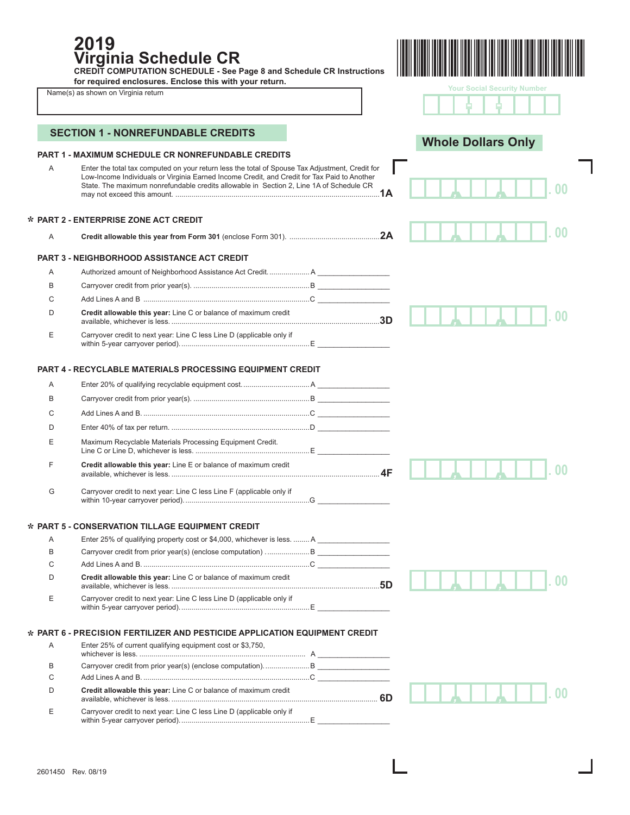**PART 1 - MAXIMUM SCHEDULE CR NONREFUNDABLE CREDITS**  A Enter the total tax computed on your return less the total of Spouse Tax Adjustment, Credit for Low-Income Individuals or Virginia Earned Income Credit, and Credit for Tax Paid to Another State. The maximum nonrefundable credits allowable in Section 2, Line 1A of Schedule CR may not exceed this amount. ............ **PART 2 - ENTERPRISE ZONE ACT CREDIT \*** <sup>A</sup>**Credit allowable this year from Form 301** (enclose Form 301). .............................................**2A PART 3 - NEIGHBORHOOD ASSISTANCE ACT CREDIT** A Authorized amount of Neighborhood Assistance Act Credit. .................... A \_\_\_\_\_\_\_\_\_\_\_\_\_\_\_\_\_\_ B Carryover credit from prior year(s). ..........................................................B \_\_\_\_\_\_\_\_\_\_\_\_\_\_\_\_\_\_ C Add Lines A and B ...................................................................................C \_\_\_\_\_\_\_\_\_\_\_\_\_\_\_\_\_\_ D **Credit allowable this year:** Line C or balance of maximum credit available, whichever is less. ........................................................................................................**3D** E Carryover credit to next year: Line C less Line D (applicable only if within 5-year carryover period). ................................................................E \_\_\_\_\_\_\_\_\_\_\_\_\_\_\_\_\_\_ **PART 4 - RECYCLABLE MATERIALS PROCESSING EQUIPMENT CREDIT** A Enter 20% of qualifying recyclable equipment cost. ................................. A \_\_\_\_\_\_\_\_\_\_\_\_\_\_\_\_\_\_ B Carryover credit from prior year(s). ..........................................................B \_\_\_\_\_\_\_\_\_\_\_\_\_\_\_\_\_\_ C Add Lines A and B. ...................................................................................C \_\_\_\_\_\_\_\_\_\_\_\_\_\_\_\_\_\_ D Enter 40% of tax per return. .....................................................................D \_\_\_\_\_\_\_\_\_\_\_\_\_\_\_\_\_\_ E Maximum Recyclable Materials Processing Equipment Credit. Line C or Line D, whichever is less. .........................................................E \_\_\_\_\_\_\_\_\_\_\_\_\_\_\_\_\_\_ F **Credit allowable this year:** Line E or balance of maximum credit available, whichever is less. ........................................................................................................**4F** G Carryover credit to next year: Line C less Line F (applicable only if within 10-year carryover period). ..............................................................G \_\_\_\_\_\_\_\_\_\_\_\_\_\_\_\_\_\_ **PART 5 - CONSERVATION TILLAGE EQUIPMENT CREDIT \*** A Enter 25% of qualifying property cost or \$4,000, whichever is less. ........ A B Carryover credit from prior year(s) (enclose computation) . .....................B \_\_\_\_\_\_\_\_\_\_\_\_\_\_\_\_\_\_ C Add Lines A and B. ...................................................................................C \_\_\_\_\_\_\_\_\_\_\_\_\_\_\_\_\_\_ D **Credit allowable this year:** Line C or balance of maximum credit available, whichever is less. ........................................................................................................**5D** E Carryover credit to next year: Line C less Line D (applicable only if within 5-year carryover period). ................................................................E \_\_\_\_\_\_\_\_\_\_\_\_\_\_\_\_\_\_ **PART 6 - PRECISION FERTILIZER AND PESTICIDE APPLICATION EQUIPMENT CREDIT \*** A Enter 25% of current qualifying equipment cost or \$3,750, whichever is less. ................................................................................... A \_\_\_\_\_\_\_\_\_\_\_\_\_\_\_\_\_\_ B Carryover credit from prior year(s) (enclose computation). ......................B \_\_\_\_\_\_\_\_\_\_\_\_\_\_\_\_\_\_ C Add Lines A and B. ...................................................................................C \_\_\_\_\_\_\_\_\_\_\_\_\_\_\_\_\_\_ D **Credit allowable this year:** Line C or balance of maximum credit available, whichever is less. ....................................................................................................... **6D** E Carryover credit to next year: Line C less Line D (applicable only if within 5-year carryover period). ................................................................E \_\_\_\_\_\_\_\_\_\_\_\_\_\_\_\_\_\_ **SECTION 1 - NONREFUNDABLE CREDITS** *, ,* **. 00** *, ,* **. 00** *, ,* **. 00** *, ,* **. 00** *, ,* **. 00** *, ,* **. 00 2019 Virginia Schedule CR CREDIT COMPUTATION SCHEDULE - See Page 8 and Schedule CR Instructions for required enclosures. Enclose this with your return.**  Name(s) as shown on Virginia return **Your Social Security Number Whole Dollars Only** - -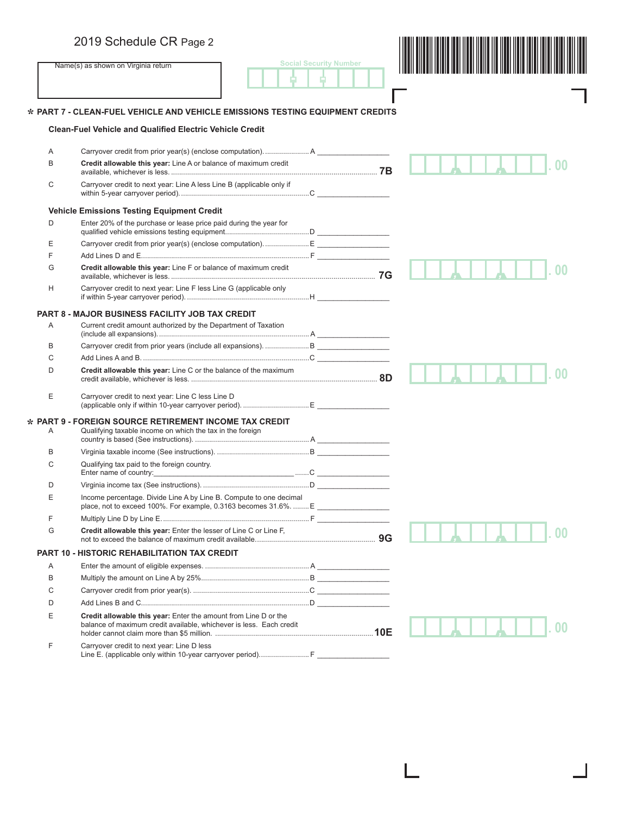

I

ı

# **PART 7 - CLEAN-FUEL VEHICLE AND VEHICLE EMISSIONS TESTING EQUIPMENT CREDITS \***

## **Clean-Fuel Vehicle and Qualified Electric Vehicle Credit**

**\***

| A | Carryover credit from prior year(s) (enclose computation) A                                                                                                                                                   |  |
|---|---------------------------------------------------------------------------------------------------------------------------------------------------------------------------------------------------------------|--|
| B | Credit allowable this year: Line A or balance of maximum credit                                                                                                                                               |  |
| C | Carryover credit to next year: Line A less Line B (applicable only if                                                                                                                                         |  |
|   | <b>Vehicle Emissions Testing Equipment Credit</b>                                                                                                                                                             |  |
| D | Enter 20% of the purchase or lease price paid during the year for                                                                                                                                             |  |
| E | Carryover credit from prior year(s) (enclose computation) E                                                                                                                                                   |  |
| F |                                                                                                                                                                                                               |  |
| G | Credit allowable this year: Line F or balance of maximum credit                                                                                                                                               |  |
| H | Carryover credit to next year: Line F less Line G (applicable only                                                                                                                                            |  |
|   | PART 8 - MAJOR BUSINESS FACILITY JOB TAX CREDIT                                                                                                                                                               |  |
| Α | Current credit amount authorized by the Department of Taxation                                                                                                                                                |  |
| B |                                                                                                                                                                                                               |  |
| C |                                                                                                                                                                                                               |  |
| D | Credit allowable this year: Line C or the balance of the maximum                                                                                                                                              |  |
| Ε | Carryover credit to next year: Line C less Line D                                                                                                                                                             |  |
|   | PART 9 - FOREIGN SOURCE RETIREMENT INCOME TAX CREDIT                                                                                                                                                          |  |
| A | Qualifying taxable income on which the tax in the foreign                                                                                                                                                     |  |
| B |                                                                                                                                                                                                               |  |
| C | Qualifying tax paid to the foreign country.                                                                                                                                                                   |  |
| D |                                                                                                                                                                                                               |  |
| E | Income percentage. Divide Line A by Line B. Compute to one decimal                                                                                                                                            |  |
| F |                                                                                                                                                                                                               |  |
| G | Credit allowable this year: Enter the lesser of Line C or Line F,                                                                                                                                             |  |
|   | PART 10 - HISTORIC REHABILITATION TAX CREDIT                                                                                                                                                                  |  |
| A |                                                                                                                                                                                                               |  |
| B |                                                                                                                                                                                                               |  |
| C |                                                                                                                                                                                                               |  |
| D |                                                                                                                                                                                                               |  |
| E | Credit allowable this year: Enter the amount from Line D or the<br>balance of maximum credit available, whichever is less. Each credit<br>balance of maximum credit available, whichever is less. Each credit |  |
| F | Carryover credit to next year: Line D less<br>Line E. (applicable only within 10-year carryover period) F                                                                                                     |  |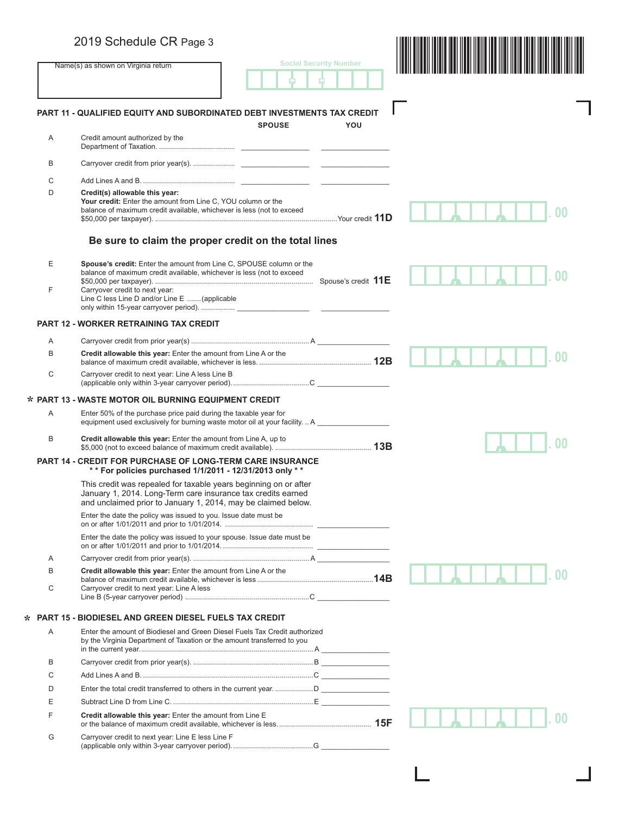|        | 2019 Schedule CR Page 3                                                                                                                                                                           |               |                               |                |
|--------|---------------------------------------------------------------------------------------------------------------------------------------------------------------------------------------------------|---------------|-------------------------------|----------------|
|        | Name(s) as shown on Virginia return                                                                                                                                                               |               | <b>Social Security Number</b> |                |
|        |                                                                                                                                                                                                   |               |                               |                |
|        | PART 11 - QUALIFIED EQUITY AND SUBORDINATED DEBT INVESTMENTS TAX CREDIT                                                                                                                           |               |                               |                |
| Α      | Credit amount authorized by the                                                                                                                                                                   | <b>SPOUSE</b> | YOU                           |                |
|        |                                                                                                                                                                                                   |               |                               |                |
| B      |                                                                                                                                                                                                   |               |                               |                |
| C      |                                                                                                                                                                                                   |               |                               |                |
| D      | Credit(s) allowable this year:<br>Your credit: Enter the amount from Line C, YOU column or the<br>balance of maximum credit available, whichever is less (not to exceed                           |               |                               |                |
|        | Be sure to claim the proper credit on the total lines                                                                                                                                             |               |                               |                |
| Е<br>F | <b>Spouse's credit:</b> Enter the amount from Line C, SPOUSE column or the<br>balance of maximum credit available, whichever is less (not to exceed<br>Carryover credit to next year:             |               |                               |                |
|        | Line C less Line D and/or Line E  (applicable                                                                                                                                                     |               |                               |                |
|        | <b>PART 12 - WORKER RETRAINING TAX CREDIT</b>                                                                                                                                                     |               |                               |                |
| A      |                                                                                                                                                                                                   |               |                               |                |
| B      | Credit allowable this year: Enter the amount from Line A or the                                                                                                                                   |               |                               | 0 <sup>0</sup> |
| C      | Carryover credit to next year: Line A less Line B                                                                                                                                                 |               |                               |                |
|        | * PART 13 - WASTE MOTOR OIL BURNING EQUIPMENT CREDIT                                                                                                                                              |               |                               |                |
| A      | Enter 50% of the purchase price paid during the taxable year for<br>equipment used exclusively for burning waste motor oil at your facilityA                                                      |               |                               |                |
| B      | Credit allowable this year: Enter the amount from Line A, up to                                                                                                                                   |               |                               |                |
|        | <b>PART 14 - CREDIT FOR PURCHASE OF LONG-TERM CARE INSURANCE</b><br>** For policies purchased 1/1/2011 - 12/31/2013 only **                                                                       |               |                               |                |
|        | This credit was repealed for taxable years beginning on or after<br>January 1, 2014. Long-Term care insurance tax credits earned<br>and unclaimed prior to January 1, 2014, may be claimed below. |               |                               |                |
|        | Enter the date the policy was issued to you. Issue date must be                                                                                                                                   |               |                               |                |
|        | Enter the date the policy was issued to your spouse. Issue date must be                                                                                                                           |               |                               |                |
| Α      |                                                                                                                                                                                                   |               |                               |                |
| B<br>C | Credit allowable this year: Enter the amount from Line A or the<br>Carryover credit to next year: Line A less                                                                                     |               |                               |                |
|        |                                                                                                                                                                                                   |               |                               |                |
|        | <b>PART 15 - BIODIESEL AND GREEN DIESEL FUELS TAX CREDIT</b>                                                                                                                                      |               |                               |                |
| Α      | Enter the amount of Biodiesel and Green Diesel Fuels Tax Credit authorized<br>by the Virginia Department of Taxation or the amount transferred to you                                             |               |                               |                |
| B      |                                                                                                                                                                                                   |               |                               |                |
| C      |                                                                                                                                                                                                   |               |                               |                |
| D      |                                                                                                                                                                                                   |               |                               |                |
| Ε      |                                                                                                                                                                                                   |               |                               |                |
| F      | Credit allowable this year: Enter the amount from Line E                                                                                                                                          |               |                               |                |
| G      | Carryover credit to next year: Line E less Line F                                                                                                                                                 |               |                               |                |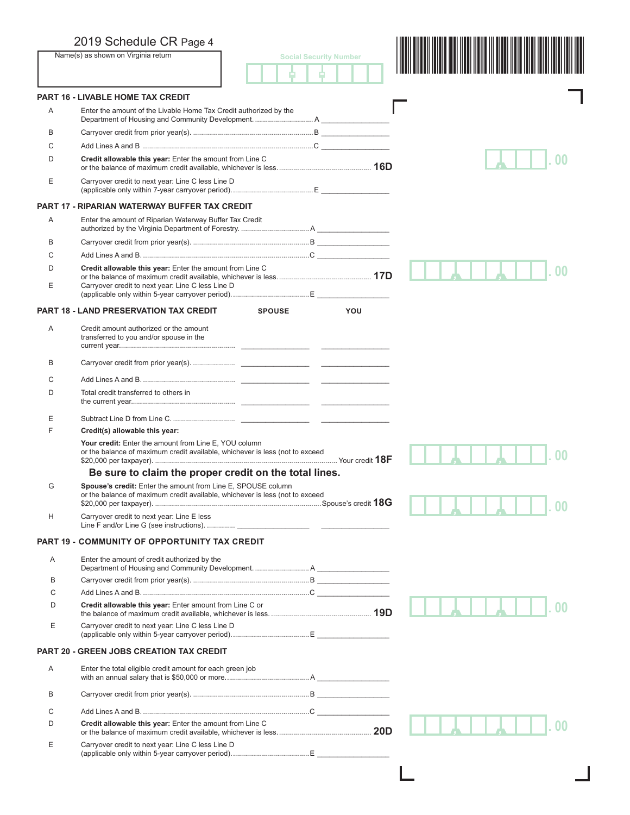|   | 2019 Schedule CR Page 4                                                                                                                      |                               |
|---|----------------------------------------------------------------------------------------------------------------------------------------------|-------------------------------|
|   | Name(s) as shown on Virginia return                                                                                                          | <b>Social Security Number</b> |
|   |                                                                                                                                              |                               |
|   | <b>PART 16 - LIVABLE HOME TAX CREDIT</b>                                                                                                     |                               |
| A | Enter the amount of the Livable Home Tax Credit authorized by the                                                                            |                               |
| B |                                                                                                                                              |                               |
| C |                                                                                                                                              |                               |
| D | Credit allowable this year: Enter the amount from Line C                                                                                     |                               |
| E | Carryover credit to next year: Line C less Line D                                                                                            |                               |
|   | <b>PART 17 - RIPARIAN WATERWAY BUFFER TAX CREDIT</b>                                                                                         |                               |
| A | Enter the amount of Riparian Waterway Buffer Tax Credit                                                                                      |                               |
| B |                                                                                                                                              |                               |
| С |                                                                                                                                              |                               |
| D | Credit allowable this year: Enter the amount from Line C                                                                                     |                               |
| Ε | Carryover credit to next year: Line C less Line D                                                                                            |                               |
|   | <b>PART 18 - LAND PRESERVATION TAX CREDIT</b><br><b>SPOUSE</b>                                                                               | YOU                           |
| A | Credit amount authorized or the amount<br>transferred to you and/or spouse in the                                                            |                               |
| B |                                                                                                                                              |                               |
| C |                                                                                                                                              |                               |
| D | Total credit transferred to others in                                                                                                        |                               |
| Ε |                                                                                                                                              |                               |
| F | Credit(s) allowable this year:                                                                                                               |                               |
|   | Your credit: Enter the amount from Line E, YOU column<br>or the balance of maximum credit available, whichever is less (not to exceed        |                               |
|   | Be sure to claim the proper credit on the total lines.                                                                                       |                               |
| G | Spouse's credit: Enter the amount from Line E, SPOUSE column<br>or the balance of maximum credit available, whichever is less (not to exceed |                               |
| Н | Carryover credit to next year: Line E less                                                                                                   |                               |
|   | PART 19 - COMMUNITY OF OPPORTUNITY TAX CREDIT                                                                                                |                               |
| Α | Enter the amount of credit authorized by the                                                                                                 |                               |
| B |                                                                                                                                              |                               |
| С |                                                                                                                                              |                               |
| D | Credit allowable this year: Enter amount from Line C or                                                                                      |                               |
| Ε | Carryover credit to next year: Line C less Line D                                                                                            |                               |
|   | <b>PART 20 - GREEN JOBS CREATION TAX CREDIT</b>                                                                                              |                               |
| Α | Enter the total eligible credit amount for each green job                                                                                    |                               |
| B |                                                                                                                                              |                               |
| С |                                                                                                                                              |                               |
| D | Credit allowable this year: Enter the amount from Line C                                                                                     |                               |
| Ε | Carryover credit to next year: Line C less Line D                                                                                            |                               |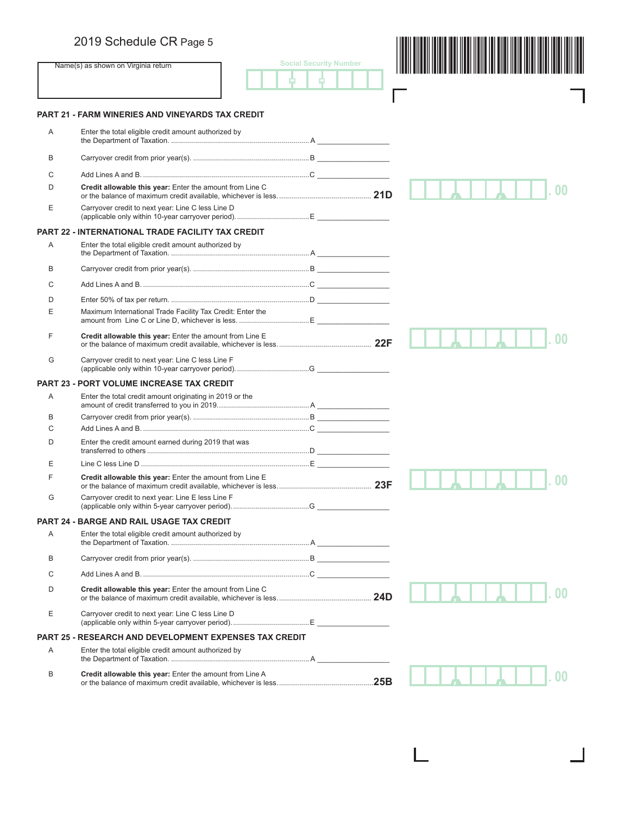**Name(s) as shown on Virginia return** 

|  | <b>Social Security Number</b> |  |  |  |
|--|-------------------------------|--|--|--|
|  |                               |  |  |  |
|  |                               |  |  |  |



1

 $\blacksquare$ 

### **PART 21 - FARM WINERIES AND VINEYARDS TAX CREDIT**

| Α | Enter the total eligible credit amount authorized by          |  |  |  |                |
|---|---------------------------------------------------------------|--|--|--|----------------|
| B |                                                               |  |  |  |                |
| C |                                                               |  |  |  |                |
| D | Credit allowable this year: Enter the amount from Line C      |  |  |  |                |
| Ε | Carryover credit to next year: Line C less Line D             |  |  |  |                |
|   | PART 22 - INTERNATIONAL TRADE FACILITY TAX CREDIT             |  |  |  |                |
| Α | Enter the total eligible credit amount authorized by          |  |  |  |                |
| B |                                                               |  |  |  |                |
| C |                                                               |  |  |  |                |
| D |                                                               |  |  |  |                |
| Ε | Maximum International Trade Facility Tax Credit: Enter the    |  |  |  |                |
| F | Credit allowable this year: Enter the amount from Line E      |  |  |  |                |
| G | Carryover credit to next year: Line C less Line F             |  |  |  |                |
|   | PART 23 - PORT VOLUME INCREASE TAX CREDIT                     |  |  |  |                |
| Α | Enter the total credit amount originating in 2019 or the      |  |  |  |                |
| В |                                                               |  |  |  |                |
| C |                                                               |  |  |  |                |
| D | Enter the credit amount earned during 2019 that was           |  |  |  |                |
| Ε |                                                               |  |  |  |                |
| F | Credit allowable this year: Enter the amount from Line E      |  |  |  |                |
| G | Carryover credit to next year: Line E less Line F             |  |  |  |                |
|   | PART 24 - BARGE AND RAIL USAGE TAX CREDIT                     |  |  |  |                |
| Α | Enter the total eligible credit amount authorized by          |  |  |  |                |
| B |                                                               |  |  |  |                |
| C |                                                               |  |  |  |                |
| D | Credit allowable this year: Enter the amount from Line C      |  |  |  |                |
| Ε | Carryover credit to next year: Line C less Line D             |  |  |  |                |
|   | <b>PART 25 - RESEARCH AND DEVELOPMENT EXPENSES TAX CREDIT</b> |  |  |  |                |
| Α | Enter the total eligible credit amount authorized by          |  |  |  |                |
| В | Credit allowable this year: Enter the amount from Line A      |  |  |  | 0 <sub>0</sub> |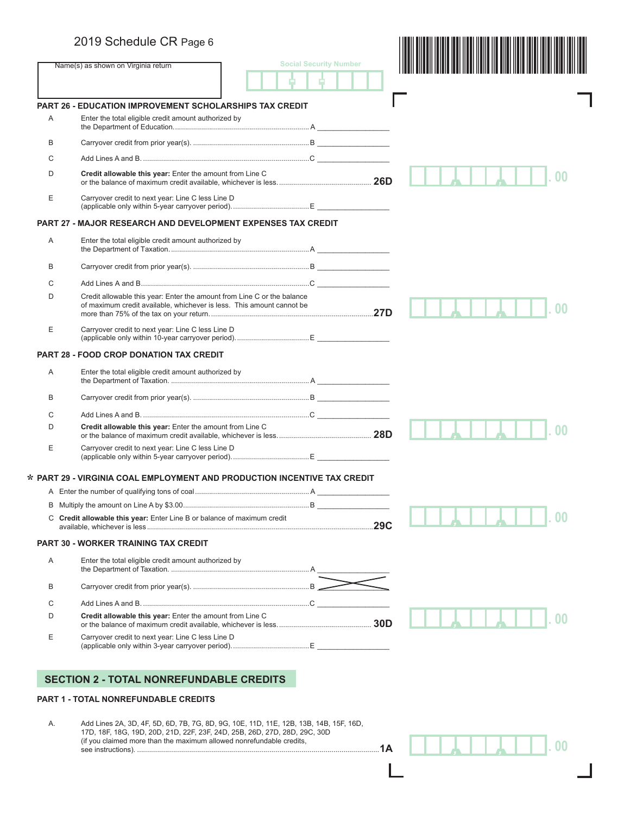# 2019 Schedule CR Page 6

|        |                                                                          | <b>Social Security Number</b> |  |
|--------|--------------------------------------------------------------------------|-------------------------------|--|
|        | Name(s) as shown on Virginia return                                      |                               |  |
|        |                                                                          |                               |  |
|        | <b>PART 26 - EDUCATION IMPROVEMENT SCHOLARSHIPS TAX CREDIT</b>           |                               |  |
| A      | Enter the total eligible credit amount authorized by                     |                               |  |
| B      |                                                                          |                               |  |
| С      |                                                                          |                               |  |
| D      | Credit allowable this year: Enter the amount from Line C                 |                               |  |
| Ε      | Carryover credit to next year: Line C less Line D                        |                               |  |
|        | <b>PART 27 - MAJOR RESEARCH AND DEVELOPMENT EXPENSES TAX CREDIT</b>      |                               |  |
| A      | Enter the total eligible credit amount authorized by                     |                               |  |
| B      |                                                                          |                               |  |
| С      |                                                                          |                               |  |
| D      | Credit allowable this year: Enter the amount from Line C or the balance  |                               |  |
|        | of maximum credit available, whichever is less. This amount cannot be    |                               |  |
| Ε      | Carryover credit to next year: Line C less Line D                        |                               |  |
|        | <b>PART 28 - FOOD CROP DONATION TAX CREDIT</b>                           |                               |  |
| Α      | Enter the total eligible credit amount authorized by                     |                               |  |
| B      |                                                                          |                               |  |
| C      |                                                                          |                               |  |
| D      | Credit allowable this year: Enter the amount from Line C                 |                               |  |
| Ε      | Carryover credit to next year: Line C less Line D                        |                               |  |
|        | * PART 29 - VIRGINIA COAL EMPLOYMENT AND PRODUCTION INCENTIVE TAX CREDIT |                               |  |
|        |                                                                          |                               |  |
|        |                                                                          |                               |  |
|        | C Credit allowable this year: Enter Line B or balance of maximum credit  |                               |  |
|        | <b>PART 30 - WORKER TRAINING TAX CREDIT</b>                              |                               |  |
| Α      | Enter the total eligible credit amount authorized by                     |                               |  |
| В      |                                                                          |                               |  |
|        |                                                                          |                               |  |
|        | Credit allowable this year: Enter the amount from Line C                 |                               |  |
| C<br>D |                                                                          |                               |  |
| Ε      | Carryover credit to next year: Line C less Line D                        |                               |  |
|        | <b>SECTION 2 - TOTAL NONREFUNDABLE CREDITS</b>                           |                               |  |
|        | <b>PART 1 - TOTAL NONREFUNDABLE CREDITS</b>                              |                               |  |

L

1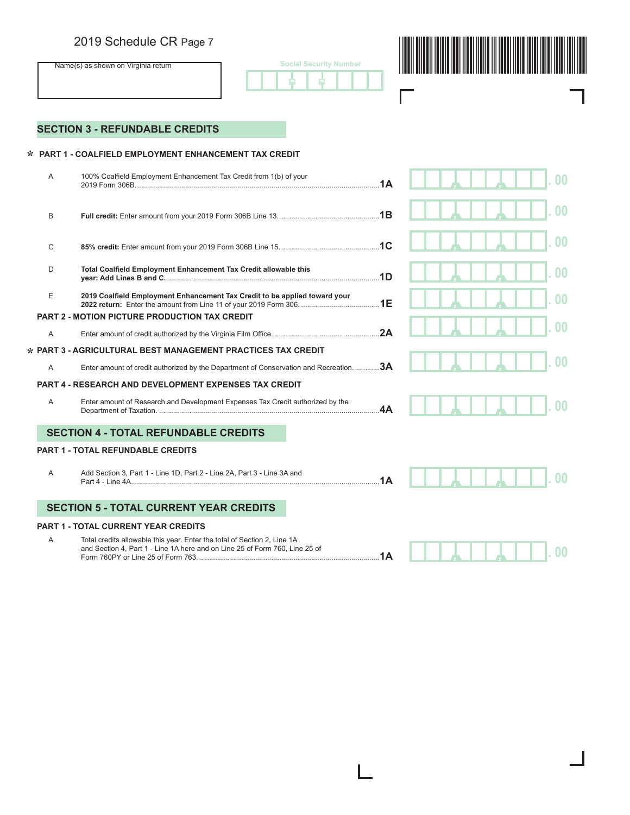# 2019 Schedule CR Page 7





┓

 $\mathbf{I}$ 

 $\Gamma$ 

# **SECTION 3 - REFUNDABLE CREDITS**

# **PART 1 - COALFIELD EMPLOYMENT ENHANCEMENT TAX CREDIT \***

| A | 100% Coalfield Employment Enhancement Tax Credit from 1(b) of your                                                                                      | 1A |  | OO             |
|---|---------------------------------------------------------------------------------------------------------------------------------------------------------|----|--|----------------|
| B |                                                                                                                                                         |    |  |                |
| С |                                                                                                                                                         |    |  |                |
| D | Total Coalfield Employment Enhancement Tax Credit allowable this                                                                                        | 1D |  |                |
| E | 2019 Coalfield Employment Enhancement Tax Credit to be applied toward your                                                                              |    |  |                |
|   | <b>PART 2 - MOTION PICTURE PRODUCTION TAX CREDIT</b>                                                                                                    |    |  |                |
| A |                                                                                                                                                         |    |  |                |
|   | * PART 3 - AGRICULTURAL BEST MANAGEMENT PRACTICES TAX CREDIT                                                                                            |    |  |                |
| A | Enter amount of credit authorized by the Department of Conservation and Recreation.                                                                     | 3A |  |                |
|   | <b>PART 4 - RESEARCH AND DEVELOPMENT EXPENSES TAX CREDIT</b>                                                                                            |    |  |                |
| A | Enter amount of Research and Development Expenses Tax Credit authorized by the                                                                          | 4A |  |                |
|   | <b>SECTION 4 - TOTAL REFUNDABLE CREDITS</b>                                                                                                             |    |  |                |
|   | <b>PART 1 - TOTAL REFUNDABLE CREDITS</b>                                                                                                                |    |  |                |
| A | Add Section 3, Part 1 - Line 1D, Part 2 - Line 2A, Part 3 - Line 3A and                                                                                 | 1A |  |                |
|   |                                                                                                                                                         |    |  |                |
|   | <b>SECTION 5 - TOTAL CURRENT YEAR CREDITS</b>                                                                                                           |    |  |                |
|   | <b>PART 1 - TOTAL CURRENT YEAR CREDITS</b>                                                                                                              |    |  |                |
| A | Total credits allowable this year. Enter the total of Section 2, Line 1A<br>and Section 4, Part 1 - Line 1A here and on Line 25 of Form 760, Line 25 of |    |  | 0 <sub>0</sub> |